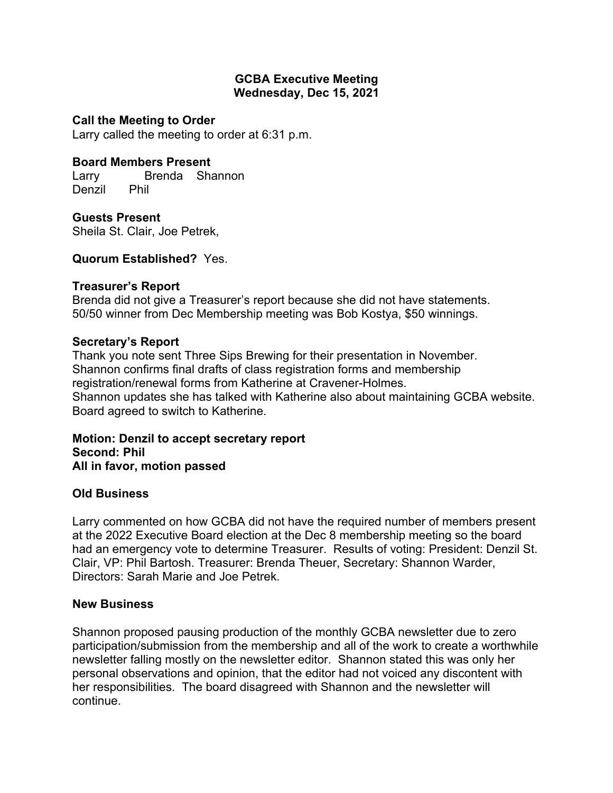## **GCBA Executive Meeting Wednesday, Dec 15, 2021**

# **Call the Meeting to Order**

Larry called the meeting to order at 6:31 p.m.

# **Board Members Present**

Larry Brenda Shannon Denzil Phil

**Guests Present** Sheila St. Clair, Joe Petrek,

## **Quorum Established?** Yes.

#### **Treasurer's Report**

Brenda did not give a Treasurer's report because she did not have statements. 50/50 winner from Dec Membership meeting was Bob Kostya, \$50 winnings.

#### **Secretary's Report**

Thank you note sent Three Sips Brewing for their presentation in November. Shannon confirms final drafts of class registration forms and membership registration/renewal forms from Katherine at Cravener-Holmes. Shannon updates she has talked with Katherine also about maintaining GCBA website. Board agreed to switch to Katherine.

**Motion: Denzil to accept secretary report Second: Phil All in favor, motion passed**

#### **Old Business**

Larry commented on how GCBA did not have the required number of members present at the 2022 Executive Board election at the Dec 8 membership meeting so the board had an emergency vote to determine Treasurer. Results of voting: President: Denzil St. Clair, VP: Phil Bartosh. Treasurer: Brenda Theuer, Secretary: Shannon Warder, Directors: Sarah Marie and Joe Petrek.

#### **New Business**

Shannon proposed pausing production of the monthly GCBA newsletter due to zero participation/submission from the membership and all of the work to create a worthwhile newsletter falling mostly on the newsletter editor. Shannon stated this was only her personal observations and opinion, that the editor had not voiced any discontent with her responsibilities. The board disagreed with Shannon and the newsletter will continue.